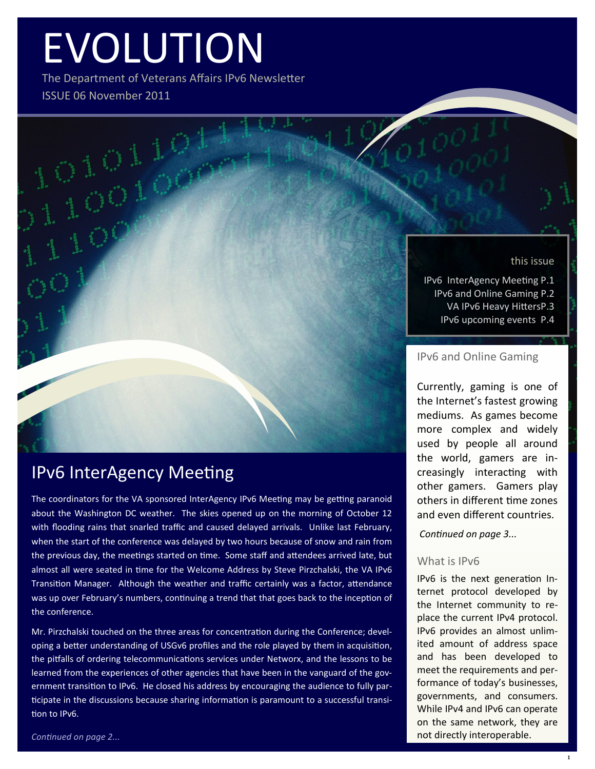# EVOLUTION

The Department of Veterans Affairs IPv6 Newsletter ISSUE 06 November 2011

#### this issue

IPv6 InterAgency Meeting P.1 IPv6 and Online Gaming P.2 VA IPv6 Heavy HittersP.3 IPv6 upcoming events P.4

#### IPv6 and Online Gaming

Currently, gaming is one of the Internet's fastest growing mediums. As games become more complex and widely used by people all around the world, gamers are increasingly interacting with other gamers. Gamers play others in different time zones and even different countries.

*Continued on page 3...*

#### What is IPv6

IPv6 is the next generation Internet protocol developed by the Internet community to replace the current IPv4 protocol. IPv6 provides an almost unlimited amount of address space and has been developed to meet the requirements and performance of today's businesses, governments, and consumers. While IPv4 and IPv6 can operate on the same network, they are not directly interoperable.

# IPv6 InterAgency Meeting

The coordinators for the VA sponsored InterAgency IPv6 Meeting may be getting paranoid about the Washington DC weather. The skies opened up on the morning of October 12 with flooding rains that snarled traffic and caused delayed arrivals. Unlike last February, when the start of the conference was delayed by two hours because of snow and rain from the previous day, the meetings started on time. Some staff and attendees arrived late, but almost all were seated in time for the Welcome Address by Steve Pirzchalski, the VA IPv6 Transition Manager. Although the weather and traffic certainly was a factor, attendance was up over February's numbers, continuing a trend that that goes back to the inception of the conference.

Mr. Pirzchalski touched on the three areas for concentration during the Conference; developing a better understanding of USGv6 profiles and the role played by them in acquisition, the pitfalls of ordering telecommunications services under Networx, and the lessons to be learned from the experiences of other agencies that have been in the vanguard of the government transition to IPv6. He closed his address by encouraging the audience to fully participate in the discussions because sharing information is paramount to a successful transition to IPv6.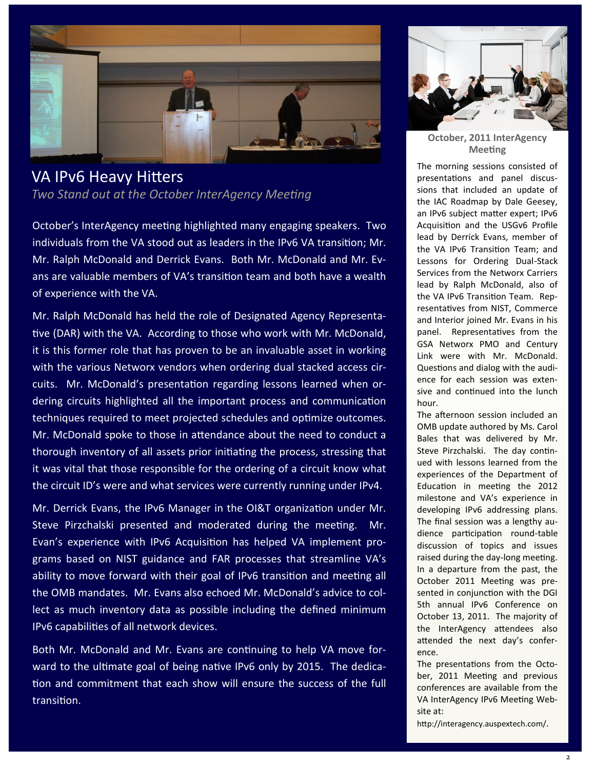

# VA IPv6 Heavy Hitters

*Two Stand out at the October InterAgency Meeting*

October's InterAgency meeting highlighted many engaging speakers. Two individuals from the VA stood out as leaders in the IPv6 VA transition; Mr. Mr. Ralph McDonald and Derrick Evans. Both Mr. McDonald and Mr. Evans are valuable members of VA's transition team and both have a wealth of experience with the VA.

Mr. Ralph McDonald has held the role of Designated Agency Representative (DAR) with the VA. According to those who work with Mr. McDonald, it is this former role that has proven to be an invaluable asset in working with the various Networx vendors when ordering dual stacked access circuits. Mr. McDonald's presentation regarding lessons learned when ordering circuits highlighted all the important process and communication techniques required to meet projected schedules and optimize outcomes. Mr. McDonald spoke to those in attendance about the need to conduct a thorough inventory of all assets prior initiating the process, stressing that it was vital that those responsible for the ordering of a circuit know what the circuit ID's were and what services were currently running under IPv4.

Mr. Derrick Evans, the IPv6 Manager in the OI&T organization under Mr. Steve Pirzchalski presented and moderated during the meeting. Mr. Evan's experience with IPv6 Acquisition has helped VA implement programs based on NIST guidance and FAR processes that streamline VA's ability to move forward with their goal of IPv6 transition and meeting all the OMB mandates. Mr. Evans also echoed Mr. McDonald's advice to collect as much inventory data as possible including the defined minimum IPv6 capabilities of all network devices.

Both Mr. McDonald and Mr. Evans are continuing to help VA move forward to the ultimate goal of being native IPv6 only by 2015. The dedication and commitment that each show will ensure the success of the full transition.



**October, 2011 InterAgency Meeting**

The morning sessions consisted of presentations and panel discussions that included an update of the IAC Roadmap by Dale Geesey, an IPv6 subject matter expert; IPv6 Acquisition and the USGv6 Profile lead by Derrick Evans, member of the VA IPv6 Transition Team; and Lessons for Ordering Dual-Stack Services from the Networx Carriers lead by Ralph McDonald, also of the VA IPv6 Transition Team. Representatives from NIST, Commerce and Interior joined Mr. Evans in his panel. Representatives from the GSA Networx PMO and Century Link were with Mr. McDonald. Questions and dialog with the audience for each session was extensive and continued into the lunch hour.

The afternoon session included an OMB update authored by Ms. Carol Bales that was delivered by Mr. Steve Pirzchalski. The day continued with lessons learned from the experiences of the Department of Education in meeting the 2012 milestone and VA's experience in developing IPv6 addressing plans. The final session was a lengthy audience participation round-table discussion of topics and issues raised during the day-long meeting. In a departure from the past, the October 2011 Meeting was presented in conjunction with the DGI 5th annual IPv6 Conference on October 13, 2011. The majority of the InterAgency attendees also attended the next day's conference.

The presentations from the October, 2011 Meeting and previous conferences are available from the VA InterAgency IPv6 Meeting Website at:

http://interagency.auspextech.com/.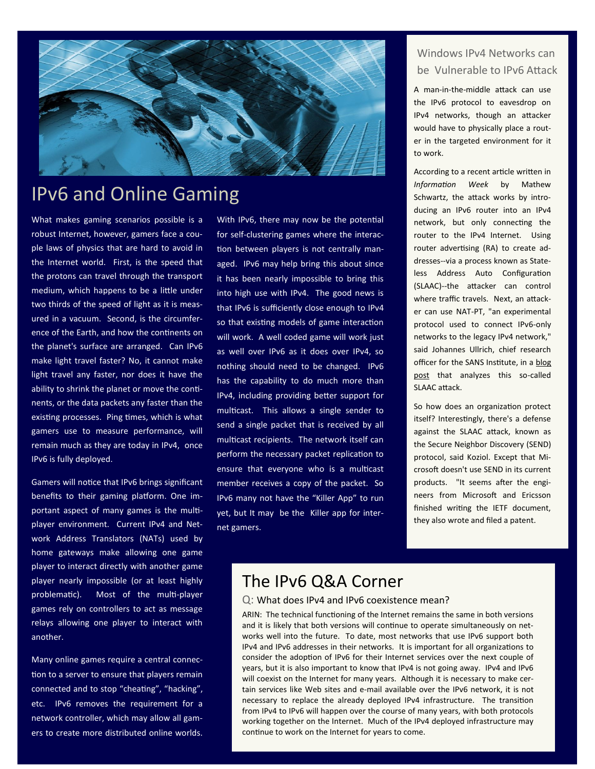

# IPv6 and Online Gaming

What makes gaming scenarios possible is a robust Internet, however, gamers face a couple laws of physics that are hard to avoid in the Internet world. First, is the speed that the protons can travel through the transport medium, which happens to be a little under two thirds of the speed of light as it is measured in a vacuum. Second, is the circumference of the Earth, and how the continents on the planet's surface are arranged. Can IPv6 make light travel faster? No, it cannot make light travel any faster, nor does it have the ability to shrink the planet or move the continents, or the data packets any faster than the existing processes. Ping times, which is what gamers use to measure performance, will remain much as they are today in IPv4, once IPv6 is fully deployed.

Gamers will notice that IPv6 brings significant benefits to their gaming platform. One important aspect of many games is the multiplayer environment. Current IPv4 and Network Address Translators (NATs) used by home gateways make allowing one game player to interact directly with another game player nearly impossible (or at least highly problematic). Most of the multi-player games rely on controllers to act as message relays allowing one player to interact with another.

Many online games require a central connection to a server to ensure that players remain connected and to stop "cheating", "hacking", etc. IPv6 removes the requirement for a network controller, which may allow all gamers to create more distributed online worlds.

With IPv6, there may now be the potential for self-clustering games where the interaction between players is not centrally managed. IPv6 may help bring this about since it has been nearly impossible to bring this into high use with IPv4. The good news is that IPv6 is sufficiently close enough to IPv4 so that existing models of game interaction will work. A well coded game will work just as well over IPv6 as it does over IPv4, so nothing should need to be changed. IPv6 has the capability to do much more than IPv4, including providing better support for multicast. This allows a single sender to send a single packet that is received by all multicast recipients. The network itself can perform the necessary packet replication to ensure that everyone who is a multicast member receives a copy of the packet. So IPv6 many not have the "Killer App" to run yet, but It may be the Killer app for internet gamers.

#### Windows IPv4 Networks can be Vulnerable to IPv6 Attack

A man-in-the-middle attack can use the IPv6 protocol to eavesdrop on IPv4 networks, though an attacker would have to physically place a router in the targeted environment for it to work.

According to a recent article written in *Information Week* by Mathew Schwartz, the attack works by introducing an IPv6 router into an IPv4 network, but only connecting the router to the IPv4 Internet. Using router advertising (RA) to create addresses--via a process known as Stateless Address Auto Configuration (SLAAC)--the attacker can control where traffic travels. Next, an attacker can use NAT-PT, "an experimental protocol used to connect IPv6-only networks to the legacy IPv4 network," said Johannes Ullrich, chief research officer for the SANS Institute, in a [blog](http://isc.sans.edu/diary.html?storyid=10660)  [post](http://isc.sans.edu/diary.html?storyid=10660) that analyzes this so-called SLAAC attack.

So how does an organization protect itself? Interestingly, there's a defense against the SLAAC attack, known as the [Secure Neighbor Discovery](http://en.wikipedia.org/wiki/Secure_Neighbor_Discovery_Protocol) (SEND) protocol, said Koziol. Except that Microsoft doesn't use SEND in its current products. "It seems after the engineers from Microsoft and Ericsson finished writing the IETF document, they also wrote and [filed a patent.](http://www.ietf.org/ietf-ftp/IPR/ericsson-send-ipsec.txt)

## The IPv6 Q&A Corner

#### Q: What does IPv4 and IPv6 coexistence mean?

ARIN: The technical functioning of the Internet remains the same in both versions and it is likely that both versions will continue to operate simultaneously on networks well into the future. To date, most networks that use IPv6 support both IPv4 and IPv6 addresses in their networks. It is important for all organizations to consider the adoption of IPv6 for their Internet services over the next couple of years, but it is also important to know that IPv4 is not going away. IPv4 and IPv6 will coexist on the Internet for many years. Although it is necessary to make certain services like Web sites and e-mail available over the IPv6 network, it is not necessary to replace the already deployed IPv4 infrastructure. The transition from IPv4 to IPv6 will happen over the course of many years, with both protocols working together on the Internet. Much of the IPv4 deployed infrastructure may continue to work on the Internet for years to come.